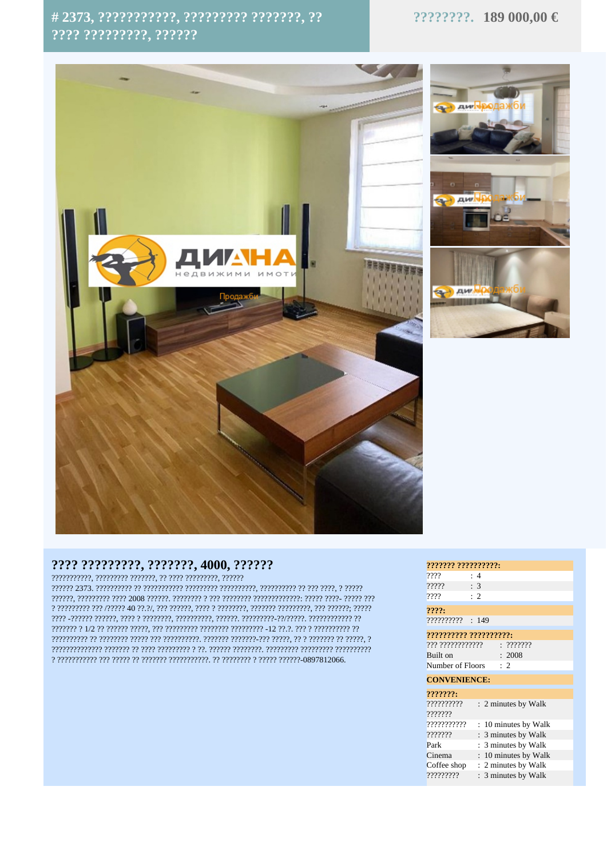## #2373, ???????????, ????????? ???????, ??  $2222.22222222.22222$

## ????????. 189 000,00 €



## ???? ?????????, ???????, 4000, ??????

 $\color{blue} {\color{blue} 1} {\color{blue} 1} {\color{blue} 1} {\color{blue} 1} {\color{blue} 1} {\color{blue} 1} {\color{blue} 1} {\color{blue} 1} {\color{blue} 1} {\color{blue} 1} {\color{blue} 1} {\color{blue} 1} {\color{blue} 1} {\color{blue} 1} {\color{blue} 1} {\color{blue} 1} {\color{blue} 1} {\color{blue} 1} {\color{blue} 1} {\color{blue} 1} {\color{blue} 1} {\color{blue} 1} {\color{blue} 1} {\color{blue} 1} {\color{blue} 1} {\color{blue} 1} {\color{blue}$  $\hbox{?}\,??\hbox{??\,\??\,\??\,\??\hbox{??\,\??\,\??\,\??\,\??\,\??\,\??\hbox{??\,\??\,\??\,\??\,\??\hbox{??\,\??\,\??\,\??\,\??\hbox{??\,\??\,\??\,\??\hbox{??\,\??\,\??\,\??\hbox{??\,\??\,\??\,\??\,\??\hbox{??\,\??\,\??\,\??\hbox{??\,\??\,\??\,\??\hbox{??\,\??\,\??\,\??\hbox{??\,\??\,\??\,\??\hbox{??\,\??\,\??\,\??\hbox{??\,\??\,\??\,\??\hbox{??\,\??\,\??\$ 

| ??????? ??????????:    |                                                                                                                                                                                                                                                                                                                                                                                       |
|------------------------|---------------------------------------------------------------------------------------------------------------------------------------------------------------------------------------------------------------------------------------------------------------------------------------------------------------------------------------------------------------------------------------|
| ????                   | :4                                                                                                                                                                                                                                                                                                                                                                                    |
| ?????                  | : 3                                                                                                                                                                                                                                                                                                                                                                                   |
| ????                   | $\cdot$ 2                                                                                                                                                                                                                                                                                                                                                                             |
| 2222:                  |                                                                                                                                                                                                                                                                                                                                                                                       |
|                        |                                                                                                                                                                                                                                                                                                                                                                                       |
| ?????????? ??????????: |                                                                                                                                                                                                                                                                                                                                                                                       |
|                        | $??\frac{??\frac{??\frac{??\frac{????}}{?!\frac{??\frac{??'}{?!\frac{??\frac{??'}{?}}{?!\frac{??\frac{???'}{?!\frac{??'}{?!\frac{??'}{?!\frac{??'}{?!\frac{??'}{?!\frac{??'}{?!\frac{??'}{?!\frac{??'}{?!\frac{??'}{?!\frac{??'}{?!\frac{??'}{?!\frac{??'}{?!\frac{??'}{?!\frac{??'}{?!\frac{??'}{?!\frac{??'}{?!\frac{??'}{?!\frac{?>'!\frac{??'}{?!\frac{?>'!\frac{?>'!\frac{?>'!\$ |
| Built on               | : 2008                                                                                                                                                                                                                                                                                                                                                                                |
| Number of Floors       | $\therefore$ 2                                                                                                                                                                                                                                                                                                                                                                        |
| <b>CONVENIENCE:</b>    |                                                                                                                                                                                                                                                                                                                                                                                       |
| ???????                |                                                                                                                                                                                                                                                                                                                                                                                       |
| ??????????             | : 2 minutes by Walk                                                                                                                                                                                                                                                                                                                                                                   |
| ???????                |                                                                                                                                                                                                                                                                                                                                                                                       |
| ???????????            | 10 minutes by Walk<br>÷                                                                                                                                                                                                                                                                                                                                                               |
| ???????                | 3 minutes by Walk                                                                                                                                                                                                                                                                                                                                                                     |
| Park                   | 3 minutes by Walk<br>÷.                                                                                                                                                                                                                                                                                                                                                               |
| Cinema                 | : 10 minutes by Walk                                                                                                                                                                                                                                                                                                                                                                  |
| Coffee shop            | : 2 minutes by Walk                                                                                                                                                                                                                                                                                                                                                                   |
| ,,,,,,,,,,             | $\cdot$ 3 minutes by Walk                                                                                                                                                                                                                                                                                                                                                             |